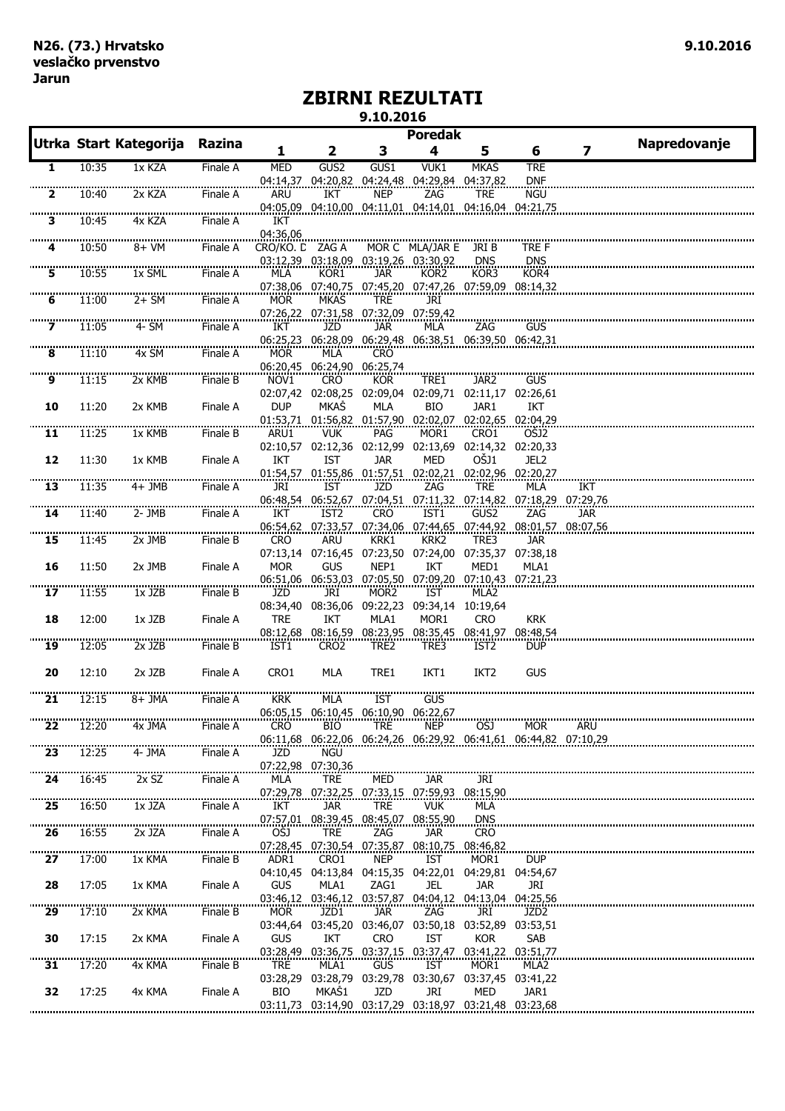## **ZBIRNI REZULTATI 9.10.2016**

|                |       |                        |          |                  |                                                     |                   | <b>Poredak</b>   |                                                                          |                  |                                                                       |              |
|----------------|-------|------------------------|----------|------------------|-----------------------------------------------------|-------------------|------------------|--------------------------------------------------------------------------|------------------|-----------------------------------------------------------------------|--------------|
|                |       | Utrka Start Kategorija | Razina   | 1                | 2                                                   | 3                 | 4                | 5                                                                        | 6                | 7                                                                     | Napredovanje |
| 1              | 10:35 | 1x KZA                 | Finale A | <b>MED</b>       | GUS <sub>2</sub>                                    | GUS1              | VUK1             | <b>MKAS</b>                                                              | <b>TRE</b>       |                                                                       |              |
|                |       |                        |          |                  | 04:14,37 04:20,82 04:24,48 04:29,84 04:37,82        |                   |                  |                                                                          | <b>DNF</b>       |                                                                       |              |
| 2              | 10:40 | 2x KZA                 | Finale A | <b>ARU</b>       | IKT                                                 | <b>NEP</b>        | ZAG              | <b>TRE</b><br>04:05,09  04:10,00  04:11,01  04:14,01  04:16,04  04:21,75 | <b>NGU</b>       |                                                                       |              |
| з              | 10:45 | 4x KZA                 | Finale A | IKT              |                                                     |                   |                  |                                                                          |                  |                                                                       |              |
|                |       |                        |          | 04:36,06         |                                                     |                   |                  |                                                                          |                  |                                                                       |              |
|                | 10:50 | 8+ VM                  | Finale A | CRO/KO. D ZAG A  |                                                     |                   | MOR C MLA/JAR E  | JRI B                                                                    | TRE F            |                                                                       |              |
|                | 10:55 | 1x SML                 | Finale A | MLA              | 03:12,39 03:18,09 03:19,26 03:30,92<br>KOR1         | JAR.              | KOR2             | <b>DNS</b><br>KOR3                                                       | DNS<br>KOR4      |                                                                       |              |
|                |       |                        |          |                  |                                                     |                   |                  | 07:38,06 07:40,75 07:45,20 07:47,26 07:59,09 08:14,32                    |                  |                                                                       |              |
| 6              | 11:00 | $2+SM$                 | Finale A | <b>MOR</b>       | MKAS                                                | <b>TRE</b>        | JRI              |                                                                          |                  |                                                                       |              |
| $\overline{z}$ | 11:05 | 4- SM                  | Finale A | IKT              | 07:26,22 07:31,58 07:32,09 07:59,42<br>JZD          | jar               | <b>MLA</b>       | ZAG                                                                      | <b>GUS</b>       |                                                                       |              |
|                |       |                        |          |                  | 06:25,23 06:28,09                                   |                   |                  | 06:29,48 06:38,51 06:39,50 06:42,31                                      |                  |                                                                       |              |
| 8              | 11:10 | 4x SM                  | Finale A | <b>MOR</b>       | MLA                                                 | <b>CRO</b>        |                  |                                                                          |                  |                                                                       |              |
| <br>9          | 11:15 | 2x KMB                 | Finale B | NOV <sub>1</sub> | 06:20,45 06:24,90 06:25,74<br><b>CRO</b>            | <b>KOR</b>        | TRE1             | JAR2                                                                     | <b>GUS</b>       |                                                                       |              |
|                |       |                        |          |                  |                                                     |                   |                  | 02:07,42 02:08,25 02:09,04 02:09,71 02:11,17 02:26,61                    |                  |                                                                       |              |
| 10             | 11:20 | 2x KMB                 | Finale A | <b>DUP</b>       | <b>MKAS</b>                                         | MLA               | <b>BIO</b>       | JAR1                                                                     | IKT              |                                                                       |              |
|                |       |                        |          |                  | <b>VUK</b>                                          |                   | MOR1             | 01:53,71 01:56,82 01:57,90 02:02,07 02:02,65 02:04,29<br>CRO1            |                  |                                                                       |              |
| 11             | 11:25 | 1x KMB                 | Finale B | ARU1             |                                                     | PAG               |                  | 02:10,57 02:12,36 02:12,99 02:13,69 02:14,32 02:20,33                    | OSJ2             |                                                                       |              |
| 12             | 11:30 | 1x KMB                 | Finale A | IKT              | IST                                                 | <b>JAR</b>        | MED              | OŠJ1                                                                     | JEL <sub>2</sub> |                                                                       |              |
|                |       |                        |          |                  |                                                     |                   |                  | 01:54.57 01:55.86 01:57.51 02:02.21 02:02.96 02:20.27                    |                  |                                                                       |              |
| 13             | 11:35 | 4+ JMB                 | Finale A | JRI              | IST                                                 | JZD               | ZAG              | <b>TRE</b>                                                               | MLA              | IKT<br>06:48,54 06:52,67 07:04,51 07:11,32 07:14,82 07:18,29 07:29,76 |              |
| <br>14         | 11:40 | 2- JMB                 | Finale A | IKT              | IST <sub>2</sub>                                    | <b>CRO</b>        | IST1             | GUS2                                                                     | ZAG              | jar                                                                   |              |
|                |       |                        |          |                  |                                                     |                   |                  | 06:54,62 07:33,57 07:34,06 07:44,65 07:44,92 08:01,57 08:07,56           |                  |                                                                       |              |
| 15             | 11:45 | 2x JMB                 | Finale B | <b>CRO</b>       | ARU                                                 | KRK1              | KRK2             | TRE3                                                                     | <b>JAR</b>       |                                                                       |              |
| 16             | 11:50 | 2x JMB                 | Finale A | <b>MOR</b>       | GUS                                                 | NEP1              | IKT              | 07:13,14 07:16,45 07:23,50 07:24,00 07:35,37 07:38,18<br>MED1            | MLA1             |                                                                       |              |
|                |       |                        |          |                  |                                                     |                   |                  | 06:51,06 06:53,03 07:05,50 07:09,20 07:10,43 07:21,23                    |                  |                                                                       |              |
| 17             | 11:55 | 1x JZB                 | Finale B | JZD              | JRI                                                 | MOR2              | IST              | MLA2                                                                     |                  |                                                                       |              |
| 18             | 12:00 | 1x JZB                 | Finale A | <b>TRE</b>       | 08:34,40 08:36,06 09:22,23 09:34,14 10:19,64<br>IKT | MLA1              | MOR1             | <b>CRO</b>                                                               | <b>KRK</b>       |                                                                       |              |
|                |       |                        |          |                  |                                                     |                   |                  | 08:12,68 08:16,59 08:23,95 08:35,45 08:41,97 08:48,54                    |                  |                                                                       |              |
| 19             | 12:05 | 2x JZB                 | Finale B | IST1             | CRO <sub>2</sub>                                    | TRE2              | TRE3             | IST <sub>2</sub>                                                         | <b>DUP</b>       |                                                                       |              |
| 20             | 12:10 | $2x$ JZB               | Finale A | CRO1             | MLA                                                 | TRE1              | IKT <sub>1</sub> | IKT <sub>2</sub>                                                         | <b>GUS</b>       |                                                                       |              |
|                |       |                        |          |                  |                                                     |                   |                  |                                                                          |                  |                                                                       |              |
| 21             | 12:15 | 8+ JMA                 | Finale A | <b>KRK</b>       | MLA                                                 | <b>IST</b>        | GUS              |                                                                          |                  |                                                                       |              |
|                |       |                        |          |                  | 06:05.15 06:10.45 06:10.90 06:22.67                 |                   |                  |                                                                          |                  |                                                                       |              |
| 22             | 12:20 | 4x JMA                 | Finale A | CRO              | BIO.                                                | TRE.              | <b>NEP</b>       | OSJ<br>06:11,68 06:22,06 06:24,26 06:29,92 06:41,61 06:44,82 07:10,29    | MOR.             | <b>ARU</b>                                                            |              |
| <br>23         | 12:25 | 4- JMA                 | Finale A | JZD              | <b>NGU</b>                                          |                   |                  |                                                                          |                  |                                                                       |              |
|                |       |                        |          |                  | 07:22,98 07:30,36                                   |                   |                  |                                                                          |                  |                                                                       |              |
| 24             | 16:45 | 2x SZ                  | Finale A | MLA              | TRE<br>07:29,78 07:32,25 07:33,15 07:59,93 08:15,90 | MED               | JAR.             | JRI                                                                      |                  |                                                                       |              |
| 25             | 16:50 | 1x JZA                 | Finale A | IKT              | <b>JAR</b>                                          | <b>TRE</b>        | <b>VUK</b>       | MLA                                                                      |                  |                                                                       |              |
|                |       |                        |          |                  | 07:57,01 08:39,45                                   | 08:45,07 08:55,90 |                  | <b>DNS</b>                                                               |                  |                                                                       |              |
| 26             | 16:55 | 2x JZA                 | Finale A | OŠJ              | <b>TRE</b><br>07:28,45 07:30,54 07:35,87 08:10,75   | ZAG               | <b>JAR</b>       | <b>CRO</b><br>08:46,82                                                   |                  |                                                                       |              |
| <br>27         | 17:00 | 1x KMA                 | Finale B | ADR1             | CRO1                                                | <b>NEP</b>        | IST              | MOR1                                                                     | <b>DUP</b>       |                                                                       |              |
|                |       |                        |          |                  |                                                     |                   |                  | 04:10,45  04:13,84  04:15,35  04:22,01  04:29,81  04:54,67               |                  |                                                                       |              |
| 28             | 17:05 | 1x KMA                 | Finale A | <b>GUS</b>       | MLA1                                                | ZAG1              | JEL              | <b>JAR</b>                                                               | JRI              |                                                                       |              |
| 29             | 17:10 | 2x KMA                 | Finale B | <b>MOR</b>       | JZD1                                                | <b>JAR</b>        | ZAG              | 03:46,12 03:46,12 03:57,87 04:04,12 04:13,04 04:25,56<br>JRI             | JZD <sub>2</sub> |                                                                       |              |
|                |       |                        |          |                  | 03:44,64 03:45,20 03:46,07 03:50,18 03:52,89        |                   |                  |                                                                          | 03:53,51         |                                                                       |              |
| 30             | 17:15 | 2x KMA                 | Finale A | <b>GUS</b>       | IKT                                                 | <b>CRO</b>        | IST              | <b>KOR</b>                                                               | SAB              |                                                                       |              |
|                |       |                        |          |                  |                                                     |                   |                  | 03:28,49 03:36,75 03:37,15 03:37,47 03:41,22 03:51,77                    |                  |                                                                       |              |
| 31             | 17:20 | 4x KMA                 | Finale B | <b>TRE</b>       | MLA1                                                | GUS               | <b>IST</b>       | MOR1<br>03:28,29 03:28,79 03:29,78 03:30,67 03:37,45 03:41,22            | MLA2             |                                                                       |              |
| 32             | 17:25 | 4x KMA                 | Finale A | <b>BIO</b>       | MKAS1                                               | JZD               | JRI              | MED                                                                      | JAR1             |                                                                       |              |
|                |       |                        |          |                  |                                                     |                   |                  | 03:11,73 03:14,90 03:17,29 03:18,97 03:21,48 03:23,68                    |                  |                                                                       |              |